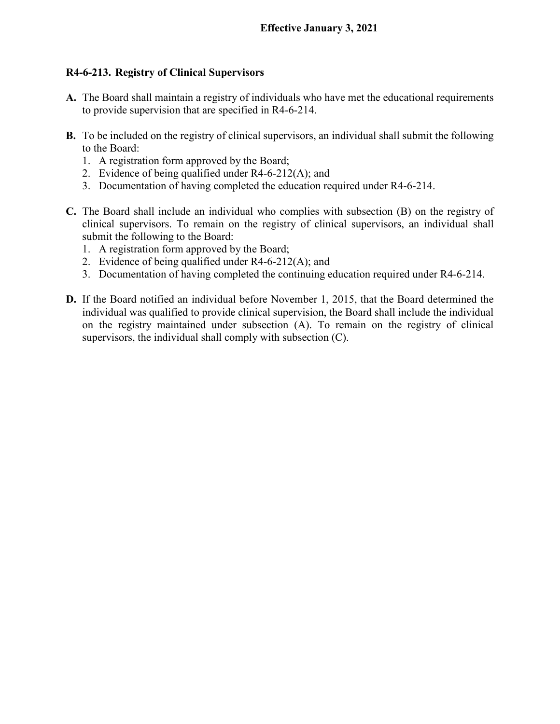## **R4-6-213. Registry of Clinical Supervisors**

- **A.** The Board shall maintain a registry of individuals who have met the educational requirements to provide supervision that are specified in R4-6-214.
- **B.** To be included on the registry of clinical supervisors, an individual shall submit the following to the Board:
	- 1. A registration form approved by the Board;
	- 2. Evidence of being qualified under R4-6-212(A); and
	- 3. Documentation of having completed the education required under R4-6-214.
- **C.** The Board shall include an individual who complies with subsection (B) on the registry of clinical supervisors. To remain on the registry of clinical supervisors, an individual shall submit the following to the Board:
	- 1. A registration form approved by the Board;
	- 2. Evidence of being qualified under R4-6-212(A); and
	- 3. Documentation of having completed the continuing education required under R4-6-214.
- **D.** If the Board notified an individual before November 1, 2015, that the Board determined the individual was qualified to provide clinical supervision, the Board shall include the individual on the registry maintained under subsection (A). To remain on the registry of clinical supervisors, the individual shall comply with subsection (C).